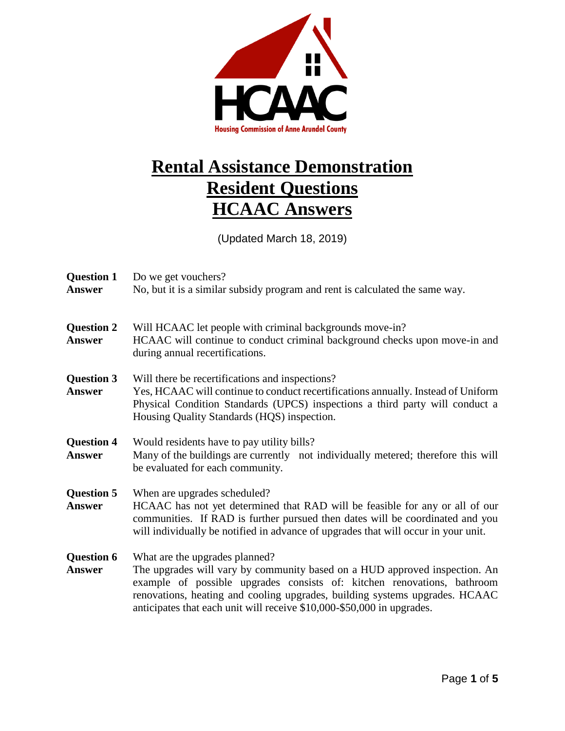

## **Rental Assistance Demonstration Resident Questions HCAAC Answers**

(Updated March 18, 2019)

| <b>Question 1</b><br>Answer        | Do we get vouchers?<br>No, but it is a similar subsidy program and rent is calculated the same way.                                                                                                                                                                                                                                              |
|------------------------------------|--------------------------------------------------------------------------------------------------------------------------------------------------------------------------------------------------------------------------------------------------------------------------------------------------------------------------------------------------|
| <b>Question 2</b><br><b>Answer</b> | Will HCAAC let people with criminal backgrounds move-in?<br>HCAAC will continue to conduct criminal background checks upon move-in and<br>during annual recertifications.                                                                                                                                                                        |
| <b>Question 3</b><br><b>Answer</b> | Will there be recertifications and inspections?<br>Yes, HCAAC will continue to conduct recertifications annually. Instead of Uniform<br>Physical Condition Standards (UPCS) inspections a third party will conduct a<br>Housing Quality Standards (HQS) inspection.                                                                              |
| <b>Question 4</b><br><b>Answer</b> | Would residents have to pay utility bills?<br>Many of the buildings are currently not individually metered; therefore this will<br>be evaluated for each community.                                                                                                                                                                              |
| <b>Question 5</b><br>Answer        | When are upgrades scheduled?<br>HCAAC has not yet determined that RAD will be feasible for any or all of our<br>communities. If RAD is further pursued then dates will be coordinated and you<br>will individually be notified in advance of upgrades that will occur in your unit.                                                              |
| <b>Question 6</b><br>Answer        | What are the upgrades planned?<br>The upgrades will vary by community based on a HUD approved inspection. An<br>example of possible upgrades consists of: kitchen renovations, bathroom<br>renovations, heating and cooling upgrades, building systems upgrades. HCAAC<br>anticipates that each unit will receive \$10,000-\$50,000 in upgrades. |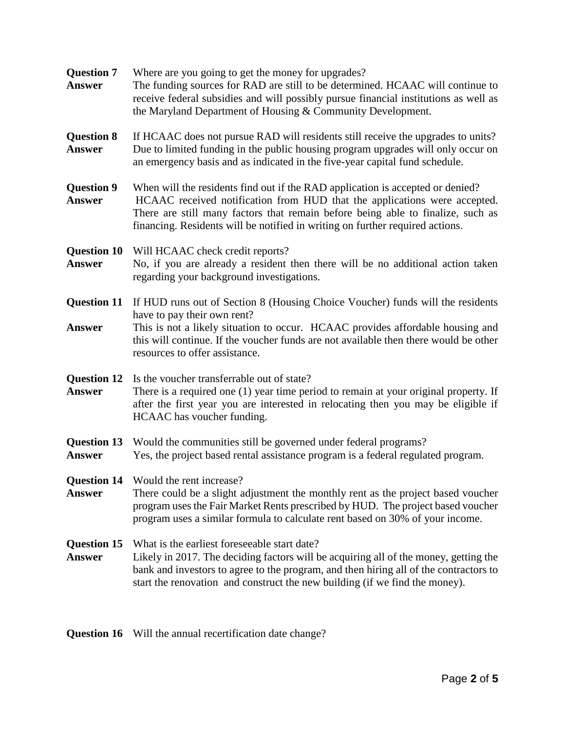| <b>Question 7</b><br><b>Answer</b>  | Where are you going to get the money for upgrades?<br>The funding sources for RAD are still to be determined. HCAAC will continue to<br>receive federal subsidies and will possibly pursue financial institutions as well as<br>the Maryland Department of Housing & Community Development.                                     |
|-------------------------------------|---------------------------------------------------------------------------------------------------------------------------------------------------------------------------------------------------------------------------------------------------------------------------------------------------------------------------------|
| <b>Question 8</b><br><b>Answer</b>  | If HCAAC does not pursue RAD will residents still receive the upgrades to units?<br>Due to limited funding in the public housing program upgrades will only occur on<br>an emergency basis and as indicated in the five-year capital fund schedule.                                                                             |
| <b>Question 9</b><br><b>Answer</b>  | When will the residents find out if the RAD application is accepted or denied?<br>HCAAC received notification from HUD that the applications were accepted.<br>There are still many factors that remain before being able to finalize, such as<br>financing. Residents will be notified in writing on further required actions. |
| <b>Question 10</b><br><b>Answer</b> | Will HCAAC check credit reports?<br>No, if you are already a resident then there will be no additional action taken<br>regarding your background investigations.                                                                                                                                                                |
| <b>Question 11</b><br><b>Answer</b> | If HUD runs out of Section 8 (Housing Choice Voucher) funds will the residents<br>have to pay their own rent?<br>This is not a likely situation to occur. HCAAC provides affordable housing and<br>this will continue. If the voucher funds are not available then there would be other<br>resources to offer assistance.       |
| <b>Question 12</b><br><b>Answer</b> | Is the voucher transferrable out of state?<br>There is a required one (1) year time period to remain at your original property. If<br>after the first year you are interested in relocating then you may be eligible if<br>HCAAC has voucher funding.                                                                           |
| <b>Answer</b>                       | <b>Question 13</b> Would the communities still be governed under federal programs?<br>Yes, the project based rental assistance program is a federal regulated program.                                                                                                                                                          |
| Answer                              | <b>Question 14</b> Would the rent increase?<br>There could be a slight adjustment the monthly rent as the project based voucher<br>program uses the Fair Market Rents prescribed by HUD. The project based voucher<br>program uses a similar formula to calculate rent based on 30% of your income.                             |
| <b>Question 15</b><br><b>Answer</b> | What is the earliest foreseeable start date?<br>Likely in 2017. The deciding factors will be acquiring all of the money, getting the<br>bank and investors to agree to the program, and then hiring all of the contractors to<br>start the renovation and construct the new building (if we find the money).                    |

**Question 16** Will the annual recertification date change?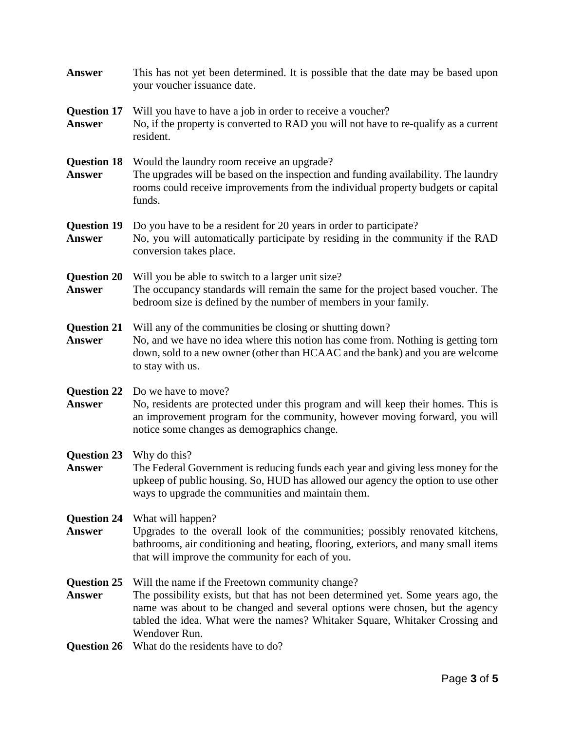| <b>Answer</b>                                    | This has not yet been determined. It is possible that the date may be based upon<br>your voucher issuance date.                                                                                                                                                                                                       |
|--------------------------------------------------|-----------------------------------------------------------------------------------------------------------------------------------------------------------------------------------------------------------------------------------------------------------------------------------------------------------------------|
| <b>Question 17</b><br><b>Answer</b>              | Will you have to have a job in order to receive a voucher?<br>No, if the property is converted to RAD you will not have to re-qualify as a current<br>resident.                                                                                                                                                       |
| <b>Question 18</b><br><b>Answer</b>              | Would the laundry room receive an upgrade?<br>The upgrades will be based on the inspection and funding availability. The laundry<br>rooms could receive improvements from the individual property budgets or capital<br>funds.                                                                                        |
| <b>Question 19</b><br><b>Answer</b>              | Do you have to be a resident for 20 years in order to participate?<br>No, you will automatically participate by residing in the community if the RAD<br>conversion takes place.                                                                                                                                       |
| <b>Question 20</b><br><b>Answer</b>              | Will you be able to switch to a larger unit size?<br>The occupancy standards will remain the same for the project based voucher. The<br>bedroom size is defined by the number of members in your family.                                                                                                              |
| <b>Question 21</b><br><b>Answer</b>              | Will any of the communities be closing or shutting down?<br>No, and we have no idea where this notion has come from. Nothing is getting torn<br>down, sold to a new owner (other than HCAAC and the bank) and you are welcome<br>to stay with us.                                                                     |
| <b>Question 22</b><br><b>Answer</b>              | Do we have to move?<br>No, residents are protected under this program and will keep their homes. This is<br>an improvement program for the community, however moving forward, you will<br>notice some changes as demographics change.                                                                                 |
| <b>Question 23</b> Why do this?<br><b>Answer</b> | The Federal Government is reducing funds each year and giving less money for the<br>upkeep of public housing. So, HUD has allowed our agency the option to use other<br>ways to upgrade the communities and maintain them.                                                                                            |
| <b>Question 24</b><br><b>Answer</b>              | What will happen?<br>Upgrades to the overall look of the communities; possibly renovated kitchens,<br>bathrooms, air conditioning and heating, flooring, exteriors, and many small items<br>that will improve the community for each of you.                                                                          |
| <b>Question 25</b><br><b>Answer</b>              | Will the name if the Freetown community change?<br>The possibility exists, but that has not been determined yet. Some years ago, the<br>name was about to be changed and several options were chosen, but the agency<br>tabled the idea. What were the names? Whitaker Square, Whitaker Crossing and<br>Wendover Run. |
| <b>Question 26</b>                               | What do the residents have to do?                                                                                                                                                                                                                                                                                     |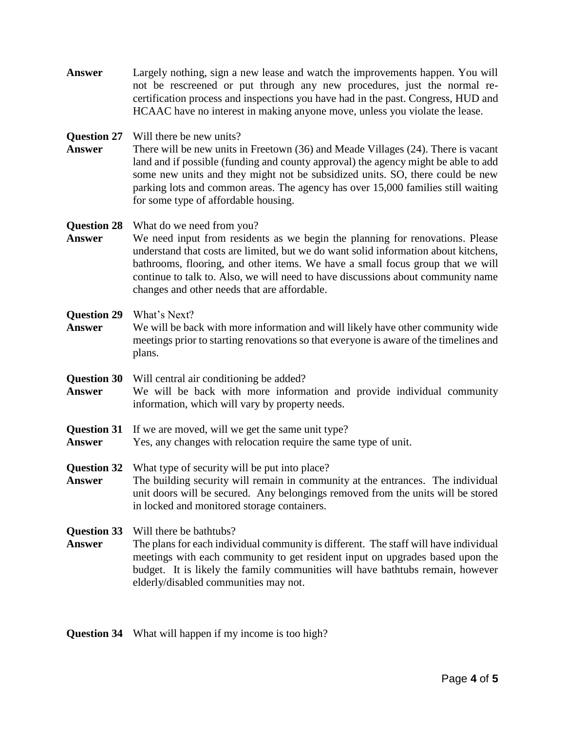- **Answer** Largely nothing, sign a new lease and watch the improvements happen. You will not be rescreened or put through any new procedures, just the normal recertification process and inspections you have had in the past. Congress, HUD and HCAAC have no interest in making anyone move, unless you violate the lease.
- **Question 27** Will there be new units?
- **Answer** There will be new units in Freetown (36) and Meade Villages (24). There is vacant land and if possible (funding and county approval) the agency might be able to add some new units and they might not be subsidized units. SO, there could be new parking lots and common areas. The agency has over 15,000 families still waiting for some type of affordable housing.

## **Question 28** What do we need from you?

Answer We need input from residents as we begin the planning for renovations. Please understand that costs are limited, but we do want solid information about kitchens, bathrooms, flooring, and other items. We have a small focus group that we will continue to talk to. Also, we will need to have discussions about community name changes and other needs that are affordable.

## **Question 29** What's Next?

- **Answer** We will be back with more information and will likely have other community wide meetings prior to starting renovations so that everyone is aware of the timelines and plans.
- **Question 30** Will central air conditioning be added? **Answer** We will be back with more information and provide individual community information, which will vary by property needs.
- **Question 31** If we are moved, will we get the same unit type?
- **Answer** Yes, any changes with relocation require the same type of unit.
- **Question 32** What type of security will be put into place? **Answer** The building security will remain in community at the entrances. The individual unit doors will be secured. Any belongings removed from the units will be stored in locked and monitored storage containers.

**Question 33** Will there be bathtubs?

**Answer** The plans for each individual community is different. The staff will have individual meetings with each community to get resident input on upgrades based upon the budget. It is likely the family communities will have bathtubs remain, however elderly/disabled communities may not.

**Question 34** What will happen if my income is too high?